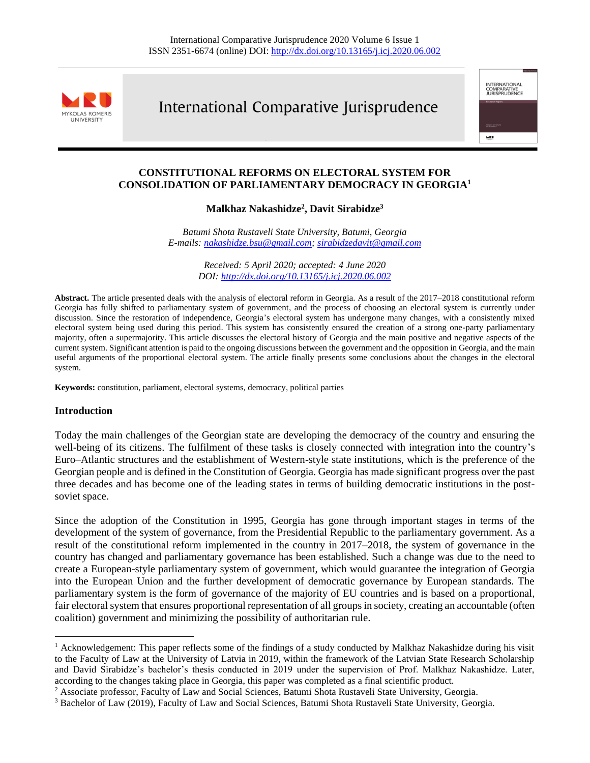

# International Comparative Jurisprudence

international<br>Comparative<br>Jurisprudence

we v

# **CONSTITUTIONAL REFORMS ON ELECTORAL SYSTEM FOR CONSOLIDATION OF PARLIAMENTARY DEMOCRACY IN GEORGIA<sup>1</sup>**

## **Malkhaz Nakashidze<sup>2</sup> , Davit Sirabidze<sup>3</sup>**

*Batumi Shota Rustaveli State University, Batumi, Georgia E-mails[: nakashidze.bsu@gmail.com;](mailto:nakashidze.bsu@gmail.com) [sirabidzedavit@gmail.com](mailto:sirabidzedavit@gmail.com)*

> *Received: 5 April 2020; accepted: 4 June 2020 DOI[: http://dx.doi.org/10.13165/j.icj.2020.06.002](http://dx.doi.org/10.13165/j.icj.2020.06.002)*

**Abstract.** The article presented deals with the analysis of electoral reform in Georgia. As a result of the 2017–2018 constitutional reform Georgia has fully shifted to parliamentary system of government, and the process of choosing an electoral system is currently under discussion. Since the restoration of independence, Georgia's electoral system has undergone many changes, with a consistently mixed electoral system being used during this period. This system has consistently ensured the creation of a strong one-party parliamentary majority, often a supermajority. This article discusses the electoral history of Georgia and the main positive and negative aspects of the current system. Significant attention is paid to the ongoing discussions between the government and the opposition in Georgia, and the main useful arguments of the proportional electoral system. The article finally presents some conclusions about the changes in the electoral system.

**Keywords:** constitution, parliament, electoral systems, democracy, political parties

### **Introduction**

Today the main challenges of the Georgian state are developing the democracy of the country and ensuring the well-being of its citizens. The fulfilment of these tasks is closely connected with integration into the country's Euro–Atlantic structures and the establishment of Western-style state institutions, which is the preference of the Georgian people and is defined in the Constitution of Georgia. Georgia has made significant progress over the past three decades and has become one of the leading states in terms of building democratic institutions in the postsoviet space.

Since the adoption of the Constitution in 1995, Georgia has gone through important stages in terms of the development of the system of governance, from the Presidential Republic to the parliamentary government. As a result of the constitutional reform implemented in the country in 2017–2018, the system of governance in the country has changed and parliamentary governance has been established. Such a change was due to the need to create a European-style parliamentary system of government, which would guarantee the integration of Georgia into the European Union and the further development of democratic governance by European standards. The parliamentary system is the form of governance of the majority of EU countries and is based on a proportional, fair electoral system that ensures proportional representation of all groups in society, creating an accountable (often coalition) government and minimizing the possibility of authoritarian rule.

<sup>&</sup>lt;sup>1</sup> Acknowledgement: This paper reflects some of the findings of a study conducted by Malkhaz Nakashidze during his visit to the Faculty of Law at the University of Latvia in 2019, within the framework of the Latvian State Research Scholarship and David Sirabidze's bachelor's thesis conducted in 2019 under the supervision of Prof. Malkhaz Nakashidze. Later, according to the changes taking place in Georgia, this paper was completed as a final scientific product.

<sup>2</sup> Associate professor, Faculty of Law and Social Sciences, Batumi Shota Rustaveli State University, Georgia.

<sup>3</sup> Bachelor of Law (2019), Faculty of Law and Social Sciences, Batumi Shota Rustaveli State University, Georgia.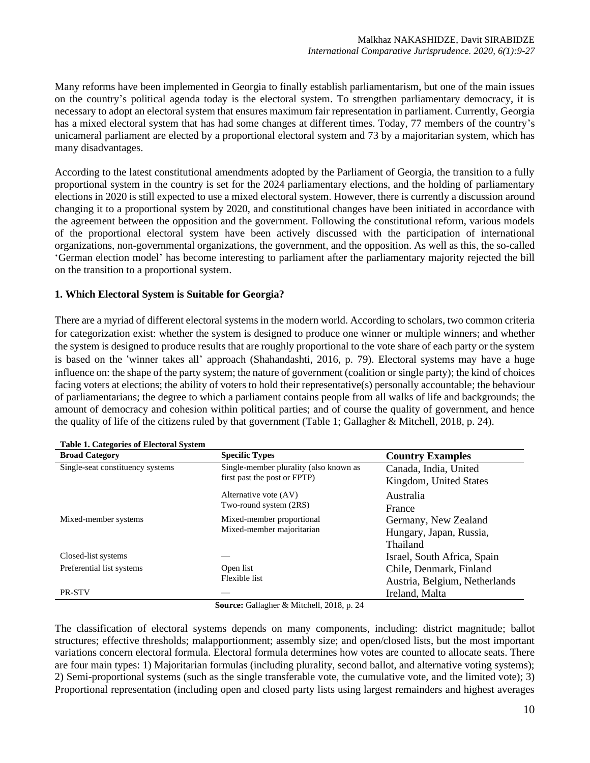Many reforms have been implemented in Georgia to finally establish parliamentarism, but one of the main issues on the country's political agenda today is the electoral system. To strengthen parliamentary democracy, it is necessary to adopt an electoral system that ensures maximum fair representation in parliament. Currently, Georgia has a mixed electoral system that has had some changes at different times. Today, 77 members of the country's unicameral parliament are elected by a proportional electoral system and 73 by a majoritarian system, which has many disadvantages.

According to the latest constitutional amendments adopted by the Parliament of Georgia, the transition to a fully proportional system in the country is set for the 2024 parliamentary elections, and the holding of parliamentary elections in 2020 is still expected to use a mixed electoral system. However, there is currently a discussion around changing it to a proportional system by 2020, and constitutional changes have been initiated in accordance with the agreement between the opposition and the government. Following the constitutional reform, various models of the proportional electoral system have been actively discussed with the participation of international organizations, non-governmental organizations, the government, and the opposition. As well as this, the so-called 'German election model' has become interesting to parliament after the parliamentary majority rejected the bill on the transition to a proportional system.

### **1. Which Electoral System is Suitable for Georgia?**

There are a myriad of different electoral systems in the modern world. According to scholars, two common criteria for categorization exist: whether the system is designed to produce one winner or multiple winners; and whether the system is designed to produce results that are roughly proportional to the vote share of each party or the system is based on the 'winner takes all' approach (Shahandashti, 2016, p. 79). Electoral systems may have a huge influence on: the shape of the party system; the nature of government (coalition or single party); the kind of choices facing voters at elections; the ability of voters to hold their representative(s) personally accountable; the behaviour of parliamentarians; the degree to which a parliament contains people from all walks of life and backgrounds; the amount of democracy and cohesion within political parties; and of course the quality of government, and hence the quality of life of the citizens ruled by that government (Table 1; Gallagher & Mitchell, 2018, p. 24).

| Table 1. Categories of Electoral Dystem |                                        |                               |
|-----------------------------------------|----------------------------------------|-------------------------------|
| <b>Broad Category</b>                   | <b>Specific Types</b>                  | <b>Country Examples</b>       |
| Single-seat constituency systems        | Single-member plurality (also known as | Canada, India, United         |
|                                         | first past the post or FPTP)           | Kingdom, United States        |
|                                         | Alternative vote (AV)                  | Australia                     |
|                                         | Two-round system (2RS)                 | France                        |
| Mixed-member systems                    | Mixed-member proportional              | Germany, New Zealand          |
|                                         | Mixed-member majoritarian              | Hungary, Japan, Russia,       |
|                                         |                                        | Thailand                      |
| Closed-list systems                     |                                        | Israel, South Africa, Spain   |
| Preferential list systems               | Open list                              | Chile, Denmark, Finland       |
|                                         | Flexible list                          | Austria, Belgium, Netherlands |
| <b>PR-STV</b>                           |                                        | Ireland, Malta                |

**Table 1. Categories of Electoral System**

**Source:** Gallagher & Mitchell, 2018, p. 24

The classification of electoral systems depends on many components, including: district magnitude; ballot structures; effective thresholds; malapportionment; assembly size; and open/closed lists, but the most important variations concern electoral formula. Electoral formula determines how votes are counted to allocate seats. There are four main types: 1) Majoritarian formulas (including plurality, second ballot, and alternative voting systems); 2) Semi-proportional systems (such as the single transferable vote, the cumulative vote, and the limited vote); 3) Proportional representation (including open and closed party lists using largest remainders and highest averages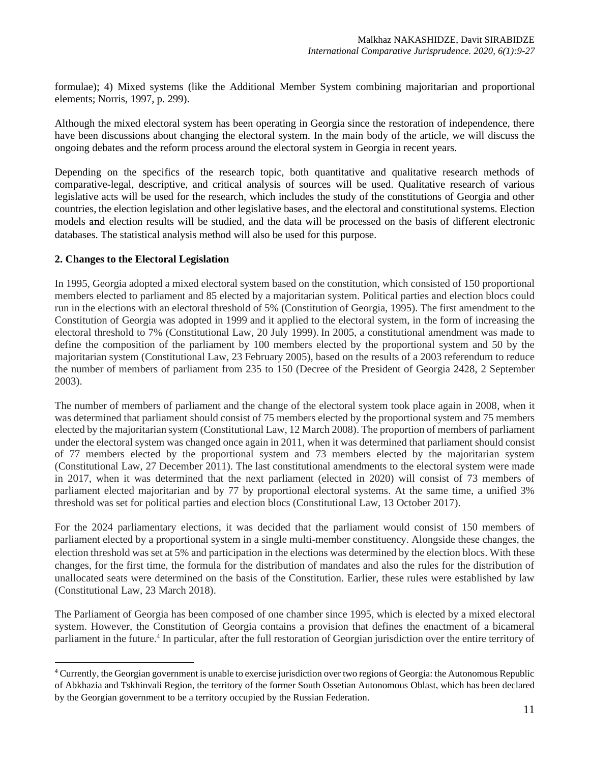formulae); 4) Mixed systems (like the Additional Member System combining majoritarian and proportional elements; Norris, 1997, p. 299).

Although the mixed electoral system has been operating in Georgia since the restoration of independence, there have been discussions about changing the electoral system. In the main body of the article, we will discuss the ongoing debates and the reform process around the electoral system in Georgia in recent years.

Depending on the specifics of the research topic, both quantitative and qualitative research methods of comparative-legal, descriptive, and critical analysis of sources will be used. Qualitative research of various legislative acts will be used for the research, which includes the study of the constitutions of Georgia and other countries, the election legislation and other legislative bases, and the electoral and constitutional systems. Election models and election results will be studied, and the data will be processed on the basis of different electronic databases. The statistical analysis method will also be used for this purpose.

### **2. Changes to the Electoral Legislation**

In 1995, Georgia adopted a mixed electoral system based on the constitution, which consisted of 150 proportional members elected to parliament and 85 elected by a majoritarian system. Political parties and election blocs could run in the elections with an electoral threshold of 5% (Constitution of Georgia, 1995). The first amendment to the Constitution of Georgia was adopted in 1999 and it applied to the electoral system, in the form of increasing the electoral threshold to 7% (Constitutional Law, 20 July 1999). In 2005, a constitutional amendment was made to define the composition of the parliament by 100 members elected by the proportional system and 50 by the majoritarian system (Constitutional Law, 23 February 2005), based on the results of a 2003 referendum to reduce the number of members of parliament from 235 to 150 (Decree of the President of Georgia 2428, 2 September 2003).

The number of members of parliament and the change of the electoral system took place again in 2008, when it was determined that parliament should consist of 75 members elected by the proportional system and 75 members elected by the majoritarian system (Constitutional Law, 12 March 2008). The proportion of members of parliament under the electoral system was changed once again in 2011, when it was determined that parliament should consist of 77 members elected by the proportional system and 73 members elected by the majoritarian system (Constitutional Law, 27 December 2011). The last constitutional amendments to the electoral system were made in 2017, when it was determined that the next parliament (elected in 2020) will consist of 73 members of parliament elected majoritarian and by 77 by proportional electoral systems. At the same time, a unified 3% threshold was set for political parties and election blocs (Constitutional Law, 13 October 2017).

For the 2024 parliamentary elections, it was decided that the parliament would consist of 150 members of parliament elected by a proportional system in a single multi-member constituency. Alongside these changes, the election threshold was set at 5% and participation in the elections was determined by the election blocs. With these changes, for the first time, the formula for the distribution of mandates and also the rules for the distribution of unallocated seats were determined on the basis of the Constitution. Earlier, these rules were established by law (Constitutional Law, 23 March 2018).

The Parliament of Georgia has been composed of one chamber since 1995, which is elected by a mixed electoral system. However, the Constitution of Georgia contains a provision that defines the enactment of a bicameral parliament in the future.<sup>4</sup> In particular, after the full restoration of Georgian jurisdiction over the entire territory of

<sup>4</sup> Currently, the Georgian government is unable to exercise jurisdiction over two regions of Georgia: the Autonomous Republic of Abkhazia and Tskhinvali Region, the territory of the former South Ossetian Autonomous Oblast, which has been declared by the Georgian government to be a territory occupied by the Russian Federation.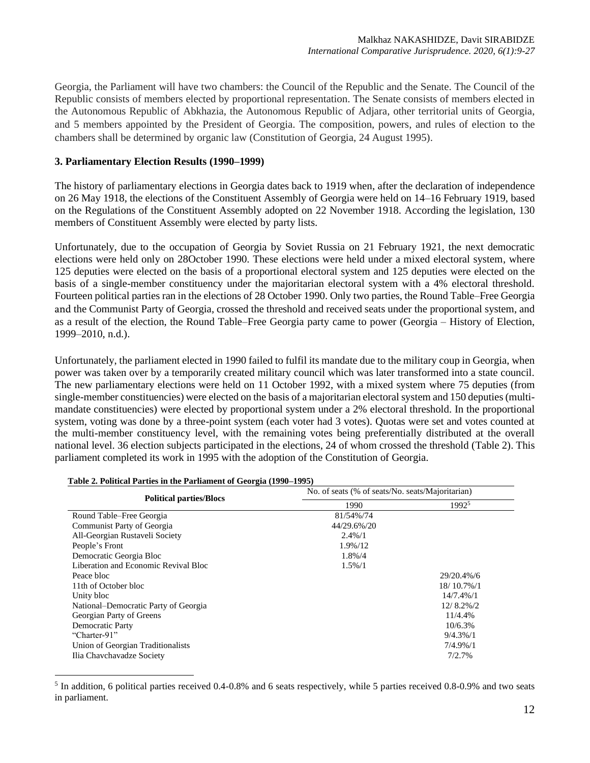Georgia, the Parliament will have two chambers: the Council of the Republic and the Senate. The Council of the Republic consists of members elected by proportional representation. The Senate consists of members elected in the Autonomous Republic of Abkhazia, the Autonomous Republic of Adjara, other territorial units of Georgia, and 5 members appointed by the President of Georgia. The composition, powers, and rules of election to the chambers shall be determined by organic law (Constitution of Georgia, 24 August 1995).

### **3. Parliamentary Election Results (1990–1999)**

The history of parliamentary elections in Georgia dates back to 1919 when, after the declaration of independence on 26 May 1918, the elections of the Constituent Assembly of Georgia were held on 14–16 February 1919, based on the Regulations of the Constituent Assembly adopted on 22 November 1918. According the legislation, 130 members of Constituent Assembly were elected by party lists.

Unfortunately, due to the occupation of Georgia by Soviet Russia on 21 February 1921, the next democratic elections were held only on 28October 1990. These elections were held under a mixed electoral system, where 125 deputies were elected on the basis of a proportional electoral system and 125 deputies were elected on the basis of a single-member constituency under the majoritarian electoral system with a 4% electoral threshold. Fourteen political parties ran in the elections of 28 October 1990. Only two parties, the Round Table–Free Georgia and the Communist Party of Georgia, crossed the threshold and received seats under the proportional system, and as a result of the election, the Round Table–Free Georgia party came to power (Georgia – History of Election, 1999–2010, n.d.).

Unfortunately, the parliament elected in 1990 failed to fulfil its mandate due to the military coup in Georgia, when power was taken over by a temporarily created military council which was later transformed into a state council. The new parliamentary elections were held on 11 October 1992, with a mixed system where 75 deputies (from single-member constituencies) were elected on the basis of a majoritarian electoral system and 150 deputies (multimandate constituencies) were elected by proportional system under a 2% electoral threshold. In the proportional system, voting was done by a three-point system (each voter had 3 votes). Quotas were set and votes counted at the multi-member constituency level, with the remaining votes being preferentially distributed at the overall national level. 36 election subjects participated in the elections, 24 of whom crossed the threshold (Table 2). This parliament completed its work in 1995 with the adoption of the Constitution of Georgia.

|                                      | No. of seats (% of seats/No. seats/Majoritarian) |              |  |
|--------------------------------------|--------------------------------------------------|--------------|--|
| <b>Political parties/Blocs</b>       | 1990                                             | 19925        |  |
| Round Table–Free Georgia             | 81/54%/74                                        |              |  |
| Communist Party of Georgia           | 44/29.6%/20                                      |              |  |
| All-Georgian Rustaveli Society       | $2.4\%/1$                                        |              |  |
| People's Front                       | 1.9%/12                                          |              |  |
| Democratic Georgia Bloc              | 1.8%/4                                           |              |  |
| Liberation and Economic Revival Bloc | $1.5\%/1$                                        |              |  |
| Peace bloc                           |                                                  | 29/20.4%/6   |  |
| 11th of October bloc                 |                                                  | 18/10.7%/1   |  |
| Unity bloc                           |                                                  | 14/7.4%/1    |  |
| National-Democratic Party of Georgia |                                                  | $12/8.2\%/2$ |  |
| Georgian Party of Greens             |                                                  | 11/4.4%      |  |
| Democratic Party                     |                                                  | 10/6.3%      |  |
| "Charter-91"                         |                                                  | $9/4.3\%/1$  |  |
| Union of Georgian Traditionalists    |                                                  | $7/4.9\%/1$  |  |
| Ilia Chavchavadze Society            |                                                  | 7/2.7%       |  |

|  |  | Table 2. Political Parties in the Parliament of Georgia (1990–1995) |
|--|--|---------------------------------------------------------------------|
|  |  |                                                                     |

<sup>&</sup>lt;sup>5</sup> In addition, 6 political parties received 0.4-0.8% and 6 seats respectively, while 5 parties received 0.8-0.9% and two seats in parliament.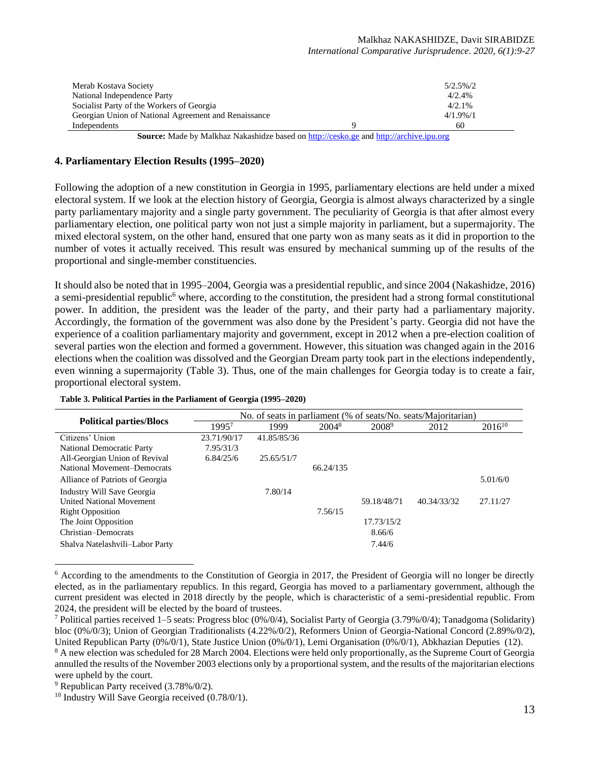| Merab Kostava Society                                |   | $5/2.5\%/2$ |
|------------------------------------------------------|---|-------------|
| National Independence Party                          |   | 4/2.4%      |
| Socialist Party of the Workers of Georgia            |   | $4/2.1\%$   |
| Georgian Union of National Agreement and Renaissance |   | $4/1.9\%/1$ |
| Independents                                         |   | 60          |
| $\sim$<br>.<br>.                                     | . |             |

Source: Made by Malkhaz Nakashidze based on [http://cesko.ge](http://cesko.ge/) an[d http://archive.ipu.org](http://archive.ipu.org/)

### **4. Parliamentary Election Results (1995–2020)**

Following the adoption of a new constitution in Georgia in 1995, parliamentary elections are held under a mixed electoral system. If we look at the election history of Georgia, Georgia is almost always characterized by a single party parliamentary majority and a single party government. The peculiarity of Georgia is that after almost every parliamentary election, one political party won not just a simple majority in parliament, but a supermajority. The mixed electoral system, on the other hand, ensured that one party won as many seats as it did in proportion to the number of votes it actually received. This result was ensured by mechanical summing up of the results of the proportional and single-member constituencies.

It should also be noted that in 1995–2004, Georgia was a presidential republic, and since 2004 (Nakashidze, 2016) a semi-presidential republic<sup>6</sup> where, according to the constitution, the president had a strong formal constitutional power. In addition, the president was the leader of the party, and their party had a parliamentary majority. Accordingly, the formation of the government was also done by the President's party. Georgia did not have the experience of a coalition parliamentary majority and government, except in 2012 when a pre-election coalition of several parties won the election and formed a government. However, this situation was changed again in the 2016 elections when the coalition was dissolved and the Georgian Dream party took part in the elections independently, even winning a supermajority (Table 3). Thus, one of the main challenges for Georgia today is to create a fair, proportional electoral system.

|                                 | No. of seats in parliament (% of seats/No. seats/Majoritarian) |             |                   |                   |             |             |  |
|---------------------------------|----------------------------------------------------------------|-------------|-------------------|-------------------|-------------|-------------|--|
| <b>Political parties/Blocs</b>  | 1995 <sup>7</sup>                                              | 1999        | 2004 <sup>8</sup> | 2008 <sup>9</sup> | 2012        | $2016^{10}$ |  |
| Citizens' Union                 | 23.71/90/17                                                    | 41.85/85/36 |                   |                   |             |             |  |
| National Democratic Party       | 7.95/31/3                                                      |             |                   |                   |             |             |  |
| All-Georgian Union of Revival   | 6.84/25/6                                                      | 25.65/51/7  |                   |                   |             |             |  |
| National Movement-Democrats     |                                                                |             | 66.24/135         |                   |             |             |  |
| Alliance of Patriots of Georgia |                                                                |             |                   |                   |             | 5.01/6/0    |  |
| Industry Will Save Georgia      |                                                                | 7.80/14     |                   |                   |             |             |  |
| <b>United National Movement</b> |                                                                |             |                   | 59.18/48/71       | 40.34/33/32 | 27.11/27    |  |
| <b>Right Opposition</b>         |                                                                |             | 7.56/15           |                   |             |             |  |
| The Joint Opposition            |                                                                |             |                   | 17.73/15/2        |             |             |  |
| Christian–Democrats             |                                                                |             |                   | 8.66/6            |             |             |  |
| Shalva Natelashvili-Labor Party |                                                                |             |                   | 7.44/6            |             |             |  |

|  |  |  | Table 3. Political Parties in the Parliament of Georgia (1995–2020) |
|--|--|--|---------------------------------------------------------------------|
|  |  |  |                                                                     |

<sup>&</sup>lt;sup>6</sup> According to the amendments to the Constitution of Georgia in 2017, the President of Georgia will no longer be directly elected, as in the parliamentary republics. In this regard, Georgia has moved to a parliamentary government, although the current president was elected in 2018 directly by the people, which is characteristic of a semi-presidential republic. From 2024, the president will be elected by the board of trustees.

<sup>&</sup>lt;sup>7</sup> Political parties received 1–5 seats: Progress bloc  $(0\%/0/4)$ , Socialist Party of Georgia (3.79%/0/4); Tanadgoma (Solidarity) bloc (0%/0/3); Union of Georgian Traditionalists (4.22%/0/2), Reformers Union of Georgia-National Concord (2.89%/0/2), United Republican Party (0%/0/1), State Justice Union (0%/0/1), Lemi Organisation (0%/0/1), Abkhazian Deputies (12).

<sup>&</sup>lt;sup>8</sup> A new election was scheduled for 28 March 2004. Elections were held only proportionally, as the Supreme Court of Georgia annulled the results of the November 2003 elections only by a proportional system, and the results of the majoritarian elections were upheld by the court.

 $9$  Republican Party received  $(3.78\%/0/2)$ .

 $10$  Industry Will Save Georgia received  $(0.78/0/1)$ .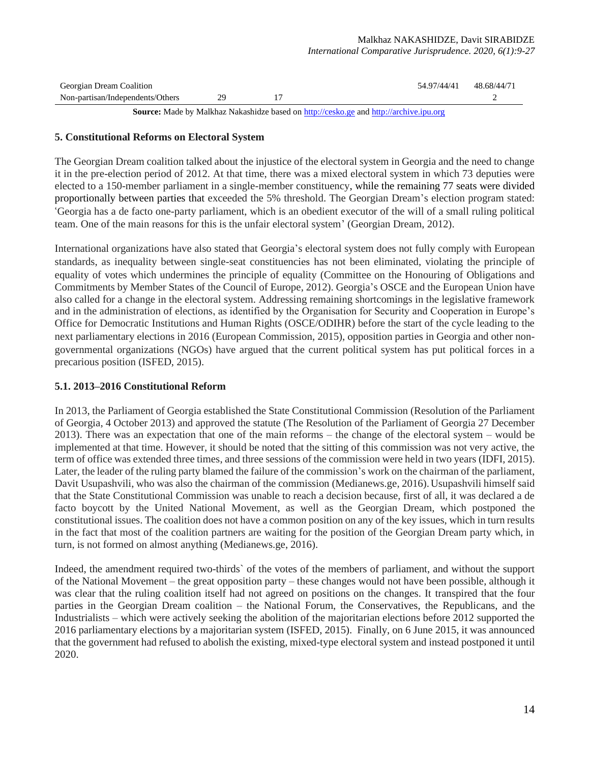| Georgian Dream Coalition         |    | 54.97/44/41 | 48.68/44/71 |
|----------------------------------|----|-------------|-------------|
| Non-partisan/Independents/Others | 29 |             |             |

Source: Made by Malkhaz Nakashidze based o[n http://cesko.ge](http://cesko.ge/) and [http://archive.ipu.org](http://archive.ipu.org/)

#### **5. Constitutional Reforms on Electoral System**

The Georgian Dream coalition talked about the injustice of the electoral system in Georgia and the need to change it in the pre-election period of 2012. At that time, there was a mixed electoral system in which 73 deputies were elected to a 150-member parliament in a single-member constituency, while the remaining 77 seats were divided proportionally between parties that exceeded the 5% threshold. The Georgian Dream's election program stated: 'Georgia has a de facto one-party parliament, which is an obedient executor of the will of a small ruling political team. One of the main reasons for this is the unfair electoral system' (Georgian Dream, 2012).

International organizations have also stated that Georgia's electoral system does not fully comply with European standards, as inequality between single-seat constituencies has not been eliminated, violating the principle of equality of votes which undermines the principle of equality (Committee on the Honouring of Obligations and Commitments by Member States of the Council of Europe, 2012). Georgia's OSCE and the European Union have also called for a change in the electoral system. Addressing remaining shortcomings in the legislative framework and in the administration of elections, as identified by the Organisation for Security and Cooperation in Europe's Office for Democratic Institutions and Human Rights (OSCE/ODIHR) before the start of the cycle leading to the next parliamentary elections in 2016 (European Commission, 2015), opposition parties in Georgia and other nongovernmental organizations (NGOs) have argued that the current political system has put political forces in a precarious position (ISFED, 2015).

### **5.1. 2013–2016 Constitutional Reform**

In 2013, the Parliament of Georgia established the State Constitutional Commission (Resolution of the Parliament of Georgia, 4 October 2013) and approved the statute (The Resolution of the Parliament of Georgia 27 December 2013). There was an expectation that one of the main reforms – the change of the electoral system – would be implemented at that time. However, it should be noted that the sitting of this commission was not very active, the term of office was extended three times, and three sessions of the commission were held in two years (IDFI, 2015). Later, the leader of the ruling party blamed the failure of the commission's work on the chairman of the parliament, Davit Usupashvili, who was also the chairman of the commission (Medianews.ge, 2016). Usupashvili himself said that the State Constitutional Commission was unable to reach a decision because, first of all, it was declared a de facto boycott by the United National Movement, as well as the Georgian Dream, which postponed the constitutional issues. The coalition does not have a common position on any of the key issues, which in turn results in the fact that most of the coalition partners are waiting for the position of the Georgian Dream party which, in turn, is not formed on almost anything (Medianews.ge, 2016).

Indeed, the amendment required two-thirds` of the votes of the members of parliament, and without the support of the National Movement – the great opposition party – these changes would not have been possible, although it was clear that the ruling coalition itself had not agreed on positions on the changes. It transpired that the four parties in the Georgian Dream coalition – the National Forum, the Conservatives, the Republicans, and the Industrialists – which were actively seeking the abolition of the majoritarian elections before 2012 supported the 2016 parliamentary elections by a majoritarian system (ISFED, 2015). Finally, on 6 June 2015, it was announced that the government had refused to abolish the existing, mixed-type electoral system and instead postponed it until 2020.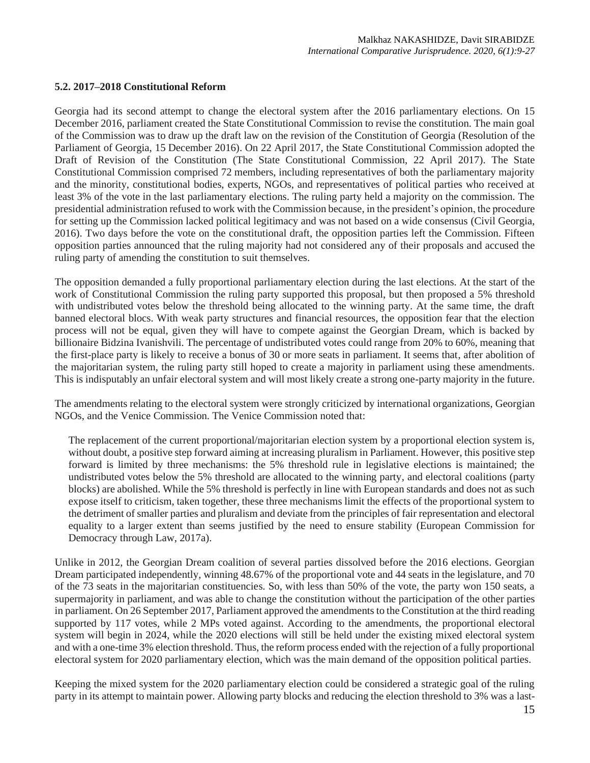### **5.2. 2017–2018 Constitutional Reform**

Georgia had its second attempt to change the electoral system after the 2016 parliamentary elections. On 15 December 2016, parliament created the State Constitutional Commission to revise the constitution. The main goal of the Commission was to draw up the draft law on the revision of the Constitution of Georgia (Resolution of the Parliament of Georgia, 15 December 2016). On 22 April 2017, the State Constitutional Commission adopted the Draft of Revision of the Constitution (The State Constitutional Commission, 22 April 2017). The State Constitutional Commission comprised 72 members, including representatives of both the parliamentary majority and the minority, constitutional bodies, experts, NGOs, and representatives of political parties who received at least 3% of the vote in the last parliamentary elections. The ruling party held a majority on the commission. The presidential administration refused to work with the Commission because, in the president's opinion, the procedure for setting up the Commission lacked political legitimacy and was not based on a wide consensus (Civil Georgia, 2016). Two days before the vote on the constitutional draft, the opposition parties left the Commission. Fifteen opposition parties announced that the ruling majority had not considered any of their proposals and accused the ruling party of amending the constitution to suit themselves.

The opposition demanded a fully proportional parliamentary election during the last elections. At the start of the work of Constitutional Commission the ruling party supported this proposal, but then proposed a 5% threshold with undistributed votes below the threshold being allocated to the winning party. At the same time, the draft banned electoral blocs. With weak party structures and financial resources, the opposition fear that the election process will not be equal, given they will have to compete against the Georgian Dream, which is backed by billionaire Bidzina Ivanishvili. The percentage of undistributed votes could range from 20% to 60%, meaning that the first-place party is likely to receive a bonus of 30 or more seats in parliament. It seems that, after abolition of the majoritarian system, the ruling party still hoped to create a majority in parliament using these amendments. This is indisputably an unfair electoral system and will most likely create a strong one-party majority in the future.

The amendments relating to the electoral system were strongly criticized by international organizations, Georgian NGOs, and the Venice Commission. The Venice Commission noted that:

The replacement of the current proportional/majoritarian election system by a proportional election system is, without doubt, a positive step forward aiming at increasing pluralism in Parliament. However, this positive step forward is limited by three mechanisms: the 5% threshold rule in legislative elections is maintained; the undistributed votes below the 5% threshold are allocated to the winning party, and electoral coalitions (party blocks) are abolished. While the 5% threshold is perfectly in line with European standards and does not as such expose itself to criticism, taken together, these three mechanisms limit the effects of the proportional system to the detriment of smaller parties and pluralism and deviate from the principles of fair representation and electoral equality to a larger extent than seems justified by the need to ensure stability (European Commission for Democracy through Law, 2017a).

Unlike in 2012, the Georgian Dream coalition of several parties dissolved before the 2016 elections. Georgian Dream participated independently, winning 48.67% of the proportional vote and 44 seats in the legislature, and 70 of the 73 seats in the majoritarian constituencies. So, with less than 50% of the vote, the party won 150 seats, a supermajority in parliament, and was able to change the constitution without the participation of the other parties in parliament. On 26 September 2017, Parliament approved the amendments to the Constitution at the third reading supported by 117 votes, while 2 MPs voted against. According to the amendments, the proportional electoral system will begin in 2024, while the 2020 elections will still be held under the existing mixed electoral system and with a one-time 3% election threshold. Thus, the reform process ended with the rejection of a fully proportional electoral system for 2020 parliamentary election, which was the main demand of the opposition political parties.

Keeping the mixed system for the 2020 parliamentary election could be considered a strategic goal of the ruling party in its attempt to maintain power. Allowing party blocks and reducing the election threshold to 3% was a last-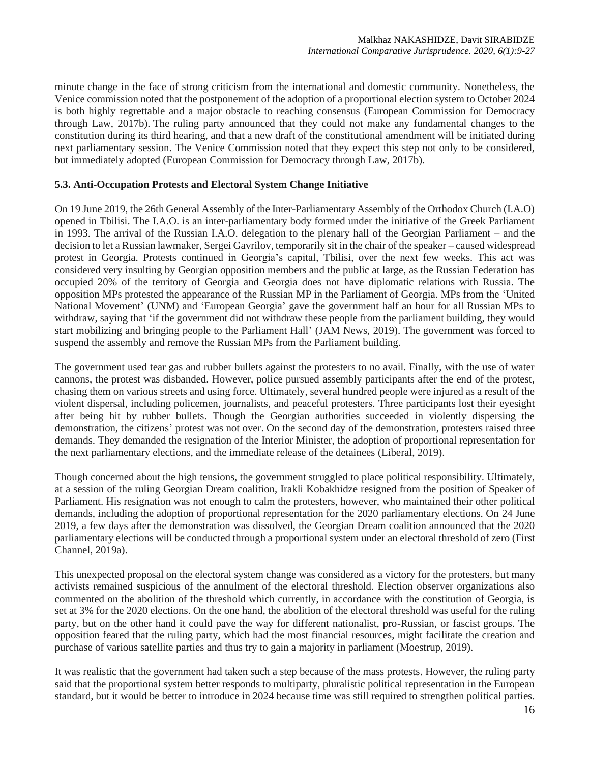minute change in the face of strong criticism from the international and domestic community. Nonetheless, the Venice commission noted that the postponement of the adoption of a proportional election system to October 2024 is both highly regrettable and a major obstacle to reaching consensus (European Commission for Democracy through Law, 2017b). The ruling party announced that they could not make any fundamental changes to the constitution during its third hearing, and that a new draft of the constitutional amendment will be initiated during next parliamentary session. The Venice Commission noted that they expect this step not only to be considered, but immediately adopted (European Commission for Democracy through Law, 2017b).

#### **5.3. Anti-Occupation Protests and Electoral System Change Initiative**

On 19 June 2019, the 26th General Assembly of the Inter-Parliamentary Assembly of the Orthodox Church (I.A.O) opened in Tbilisi. The I.A.O. is an inter-parliamentary body formed under the initiative of the Greek Parliament in 1993. The arrival of the Russian I.A.O. delegation to the plenary hall of the Georgian Parliament – and the decision to let a Russian lawmaker, Sergei Gavrilov, temporarily sit in the chair of the speaker – caused widespread protest in Georgia. Protests continued in Georgia's capital, Tbilisi, over the next few weeks. This act was considered very insulting by Georgian opposition members and the public at large, as the Russian Federation has occupied 20% of the territory of Georgia and Georgia does not have diplomatic relations with Russia. The opposition MPs protested the appearance of the Russian MP in the Parliament of Georgia. MPs from the 'United National Movement' (UNM) and 'European Georgia' gave the government half an hour for all Russian MPs to withdraw, saying that 'if the government did not withdraw these people from the parliament building, they would start mobilizing and bringing people to the Parliament Hall' (JAM News, 2019). The government was forced to suspend the assembly and remove the Russian MPs from the Parliament building.

The government used tear gas and rubber bullets against the protesters to no avail. Finally, with the use of water cannons, the protest was disbanded. However, police pursued assembly participants after the end of the protest, chasing them on various streets and using force. Ultimately, several hundred people were injured as a result of the violent dispersal, including policemen, journalists, and peaceful protesters. Three participants lost their eyesight after being hit by rubber bullets. Though the Georgian authorities succeeded in violently dispersing the demonstration, the citizens' protest was not over. On the second day of the demonstration, protesters raised three demands. They demanded the resignation of the Interior Minister, the adoption of proportional representation for the next parliamentary elections, and the immediate release of the detainees (Liberal, 2019).

Though concerned about the high tensions, the government struggled to place political responsibility. Ultimately, at a session of the ruling Georgian Dream coalition, Irakli Kobakhidze resigned from the position of Speaker of Parliament. His resignation was not enough to calm the protesters, however, who maintained their other political demands, including the adoption of proportional representation for the 2020 parliamentary elections. On 24 June 2019, a few days after the demonstration was dissolved, the Georgian Dream coalition announced that the 2020 parliamentary elections will be conducted through a proportional system under an electoral threshold of zero (First Channel, 2019a).

This unexpected proposal on the electoral system change was considered as a victory for the protesters, but many activists remained suspicious of the annulment of the electoral threshold. Election observer organizations also commented on the abolition of the threshold which currently, in accordance with the constitution of Georgia, is set at 3% for the 2020 elections. On the one hand, the abolition of the electoral threshold was useful for the ruling party, but on the other hand it could pave the way for different nationalist, pro-Russian, or fascist groups. The opposition feared that the ruling party, which had the most financial resources, might facilitate the creation and purchase of various satellite parties and thus try to gain a majority in parliament (Moestrup, 2019).

It was realistic that the government had taken such a step because of the mass protests. However, the ruling party said that the proportional system better responds to multiparty, pluralistic political representation in the European standard, but it would be better to introduce in 2024 because time was still required to strengthen political parties.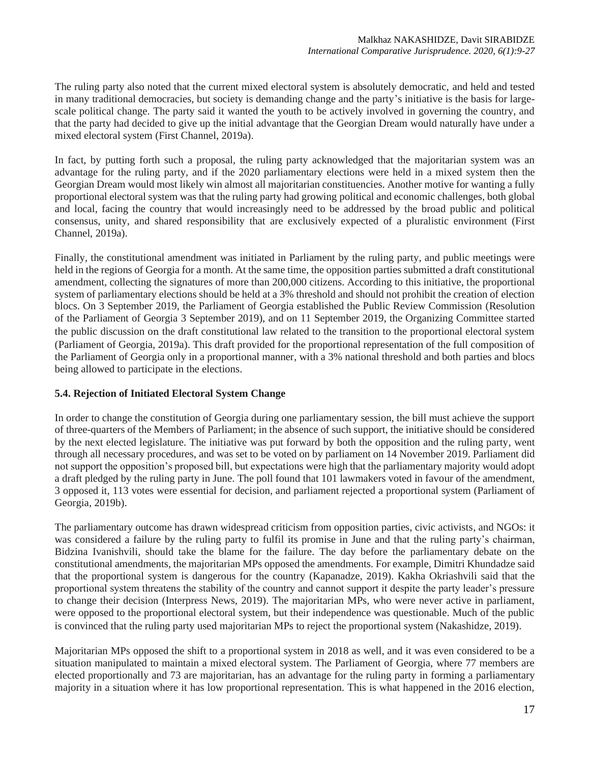The ruling party also noted that the current mixed electoral system is absolutely democratic, and held and tested in many traditional democracies, but society is demanding change and the party's initiative is the basis for largescale political change. The party said it wanted the youth to be actively involved in governing the country, and that the party had decided to give up the initial advantage that the Georgian Dream would naturally have under a mixed electoral system (First Channel, 2019a).

In fact, by putting forth such a proposal, the ruling party acknowledged that the majoritarian system was an advantage for the ruling party, and if the 2020 parliamentary elections were held in a mixed system then the Georgian Dream would most likely win almost all majoritarian constituencies. Another motive for wanting a fully proportional electoral system was that the ruling party had growing political and economic challenges, both global and local, facing the country that would increasingly need to be addressed by the broad public and political consensus, unity, and shared responsibility that are exclusively expected of a pluralistic environment (First Channel, 2019a).

Finally, the constitutional amendment was initiated in Parliament by the ruling party, and public meetings were held in the regions of Georgia for a month. At the same time, the opposition parties submitted a draft constitutional amendment, collecting the signatures of more than 200,000 citizens. According to this initiative, the proportional system of parliamentary elections should be held at a 3% threshold and should not prohibit the creation of election blocs. On 3 September 2019, the Parliament of Georgia established the Public Review Commission (Resolution of the Parliament of Georgia 3 September 2019), and on 11 September 2019, the Organizing Committee started the public discussion on the draft constitutional law related to the transition to the proportional electoral system (Parliament of Georgia, 2019a). This draft provided for the proportional representation of the full composition of the Parliament of Georgia only in a proportional manner, with a 3% national threshold and both parties and blocs being allowed to participate in the elections.

### **5.4. Rejection of Initiated Electoral System Change**

In order to change the constitution of Georgia during one parliamentary session, the bill must achieve the support of three-quarters of the Members of Parliament; in the absence of such support, the initiative should be considered by the next elected legislature. The initiative was put forward by both the opposition and the ruling party, went through all necessary procedures, and was set to be voted on by parliament on 14 November 2019. Parliament did not support the opposition's proposed bill, but expectations were high that the parliamentary majority would adopt a draft pledged by the ruling party in June. The poll found that 101 lawmakers voted in favour of the amendment, 3 opposed it, 113 votes were essential for decision, and parliament rejected a proportional system (Parliament of Georgia, 2019b).

The parliamentary outcome has drawn widespread criticism from opposition parties, civic activists, and NGOs: it was considered a failure by the ruling party to fulfil its promise in June and that the ruling party's chairman, Bidzina Ivanishvili, should take the blame for the failure. The day before the parliamentary debate on the constitutional amendments, the majoritarian MPs opposed the amendments. For example, Dimitri Khundadze said that the proportional system is dangerous for the country (Kapanadze, 2019). Kakha Okriashvili said that the proportional system threatens the stability of the country and cannot support it despite the party leader's pressure to change their decision (Interpress News, 2019). The majoritarian MPs, who were never active in parliament, were opposed to the proportional electoral system, but their independence was questionable. Much of the public is convinced that the ruling party used majoritarian MPs to reject the proportional system (Nakashidze, 2019).

Majoritarian MPs opposed the shift to a proportional system in 2018 as well, and it was even considered to be a situation manipulated to maintain a mixed electoral system. The Parliament of Georgia, where 77 members are elected proportionally and 73 are majoritarian, has an advantage for the ruling party in forming a parliamentary majority in a situation where it has low proportional representation. This is what happened in the 2016 election,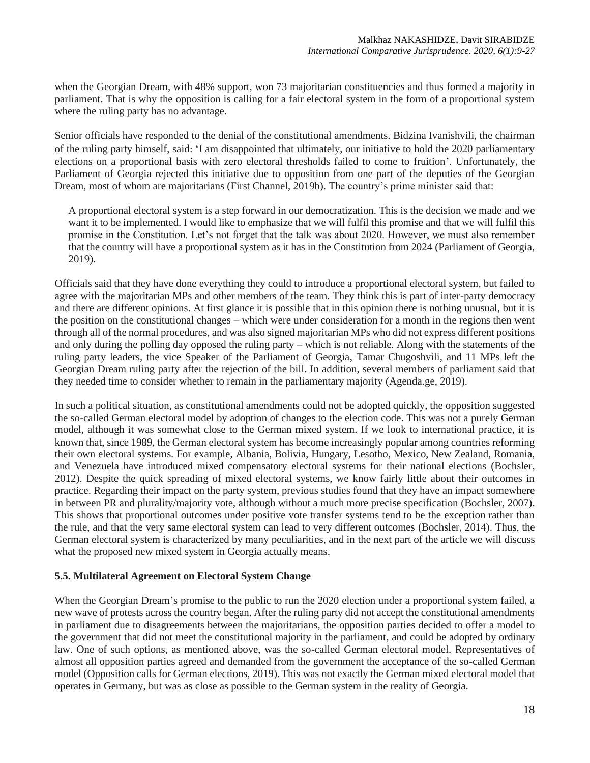when the Georgian Dream, with 48% support, won 73 majoritarian constituencies and thus formed a majority in parliament. That is why the opposition is calling for a fair electoral system in the form of a proportional system where the ruling party has no advantage.

Senior officials have responded to the denial of the constitutional amendments. Bidzina Ivanishvili, the chairman of the ruling party himself, said: 'I am disappointed that ultimately, our initiative to hold the 2020 parliamentary elections on a proportional basis with zero electoral thresholds failed to come to fruition'. Unfortunately, the Parliament of Georgia rejected this initiative due to opposition from one part of the deputies of the Georgian Dream, most of whom are majoritarians (First Channel, 2019b). The country's prime minister said that:

A proportional electoral system is a step forward in our democratization. This is the decision we made and we want it to be implemented. I would like to emphasize that we will fulfil this promise and that we will fulfil this promise in the Constitution. Let's not forget that the talk was about 2020. However, we must also remember that the country will have a proportional system as it has in the Constitution from 2024 (Parliament of Georgia, 2019).

Officials said that they have done everything they could to introduce a proportional electoral system, but failed to agree with the majoritarian MPs and other members of the team. They think this is part of inter-party democracy and there are different opinions. At first glance it is possible that in this opinion there is nothing unusual, but it is the position on the constitutional changes – which were under consideration for a month in the regions then went through all of the normal procedures, and was also signed majoritarian MPs who did not express different positions and only during the polling day opposed the ruling party – which is not reliable. Along with the statements of the ruling party leaders, the vice Speaker of the Parliament of Georgia, Tamar Chugoshvili, and 11 MPs left the Georgian Dream ruling party after the rejection of the bill. In addition, several members of parliament said that they needed time to consider whether to remain in the parliamentary majority (Agenda.ge, 2019).

In such a political situation, as constitutional amendments could not be adopted quickly, the opposition suggested the so-called German electoral model by adoption of changes to the election code. This was not a purely German model, although it was somewhat close to the German mixed system. If we look to international practice, it is known that, since 1989, the German electoral system has become increasingly popular among countries reforming their own electoral systems. For example, Albania, Bolivia, Hungary, Lesotho, Mexico, New Zealand, Romania, and Venezuela have introduced mixed compensatory electoral systems for their national elections (Bochsler, 2012). Despite the quick spreading of mixed electoral systems, we know fairly little about their outcomes in practice. Regarding their impact on the party system, previous studies found that they have an impact somewhere in between PR and plurality/majority vote, although without a much more precise specification (Bochsler, 2007). This shows that proportional outcomes under positive vote transfer systems tend to be the exception rather than the rule, and that the very same electoral system can lead to very different outcomes (Bochsler, 2014). Thus, the German electoral system is characterized by many peculiarities, and in the next part of the article we will discuss what the proposed new mixed system in Georgia actually means.

### **5.5. Multilateral Agreement on Electoral System Change**

When the Georgian Dream's promise to the public to run the 2020 election under a proportional system failed, a new wave of protests across the country began. After the ruling party did not accept the constitutional amendments in parliament due to disagreements between the majoritarians, the opposition parties decided to offer a model to the government that did not meet the constitutional majority in the parliament, and could be adopted by ordinary law. One of such options, as mentioned above, was the so-called German electoral model. Representatives of almost all opposition parties agreed and demanded from the government the acceptance of the so-called German model (Opposition calls for German elections, 2019).This was not exactly the German mixed electoral model that operates in Germany, but was as close as possible to the German system in the reality of Georgia.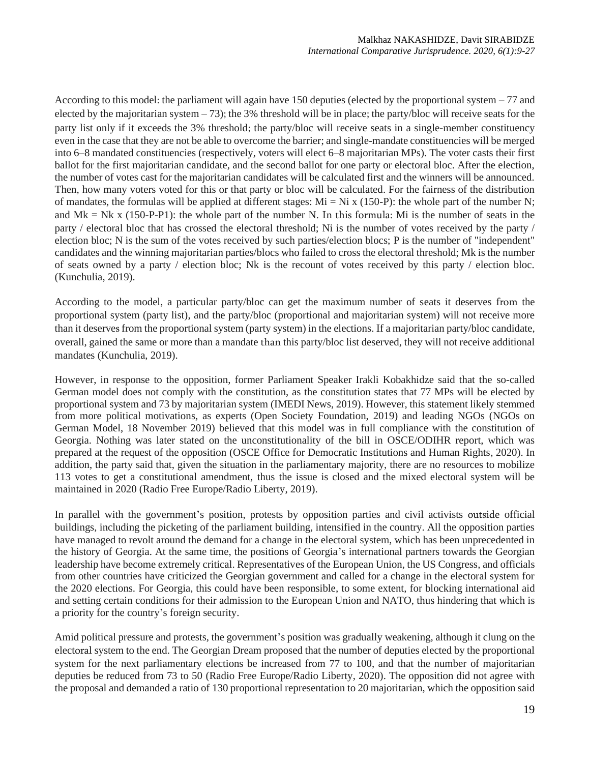According to this model: the parliament will again have 150 deputies (elected by the proportional system – 77 and elected by the majoritarian system – 73); the 3% threshold will be in place; the party/bloc will receive seats for the party list only if it exceeds the 3% threshold; the party/bloc will receive seats in a single-member constituency even in the case that they are not be able to overcome the barrier; and single-mandate constituencies will be merged into 6–8 mandated constituencies (respectively, voters will elect 6–8 majoritarian MPs). The voter casts their first ballot for the first majoritarian candidate, and the second ballot for one party or electoral bloc. After the election, the number of votes cast for the majoritarian candidates will be calculated first and the winners will be announced. Then, how many voters voted for this or that party or bloc will be calculated. For the fairness of the distribution of mandates, the formulas will be applied at different stages:  $Mi = Ni \times (150-P)$ : the whole part of the number N; and Mk = Nk x (150-P-P1): the whole part of the number N. In this formula: Mi is the number of seats in the party / electoral bloc that has crossed the electoral threshold; Ni is the number of votes received by the party / election bloc; N is the sum of the votes received by such parties/election blocs; P is the number of "independent" candidates and the winning majoritarian parties/blocs who failed to cross the electoral threshold; Mk is the number of seats owned by a party / election bloc; Nk is the recount of votes received by this party / election bloc. (Kunchulia, 2019).

According to the model, a particular party/bloc can get the maximum number of seats it deserves from the proportional system (party list), and the party/bloc (proportional and majoritarian system) will not receive more than it deserves from the proportional system (party system) in the elections. If a majoritarian party/bloc candidate, overall, gained the same or more than a mandate than this party/bloc list deserved, they will not receive additional mandates (Kunchulia, 2019).

However, in response to the opposition, former Parliament Speaker Irakli Kobakhidze said that the so-called German model does not comply with the constitution, as the constitution states that 77 MPs will be elected by proportional system and 73 by majoritarian system (IMEDI News, 2019). However, this statement likely stemmed from more political motivations, as experts (Open Society Foundation, 2019) and leading NGOs (NGOs on German Model, 18 November 2019) believed that this model was in full compliance with the constitution of Georgia. Nothing was later stated on the unconstitutionality of the bill in OSCE/ODIHR report, which was prepared at the request of the opposition (OSCE Office for Democratic Institutions and Human Rights, 2020). In addition, the party said that, given the situation in the parliamentary majority, there are no resources to mobilize 113 votes to get a constitutional amendment, thus the issue is closed and the mixed electoral system will be maintained in 2020 (Radio Free Europe/Radio Liberty, 2019).

In parallel with the government's position, protests by opposition parties and civil activists outside official buildings, including the picketing of the parliament building, intensified in the country. All the opposition parties have managed to revolt around the demand for a change in the electoral system, which has been unprecedented in the history of Georgia. At the same time, the positions of Georgia's international partners towards the Georgian leadership have become extremely critical. Representatives of the European Union, the US Congress, and officials from other countries have criticized the Georgian government and called for a change in the electoral system for the 2020 elections. For Georgia, this could have been responsible, to some extent, for blocking international aid and setting certain conditions for their admission to the European Union and NATO, thus hindering that which is a priority for the country's foreign security.

Amid political pressure and protests, the government's position was gradually weakening, although it clung on the electoral system to the end. The Georgian Dream proposed that the number of deputies elected by the proportional system for the next parliamentary elections be increased from 77 to 100, and that the number of majoritarian deputies be reduced from 73 to 50 (Radio Free Europe/Radio Liberty, 2020). The opposition did not agree with the proposal and demanded a ratio of 130 proportional representation to 20 majoritarian, which the opposition said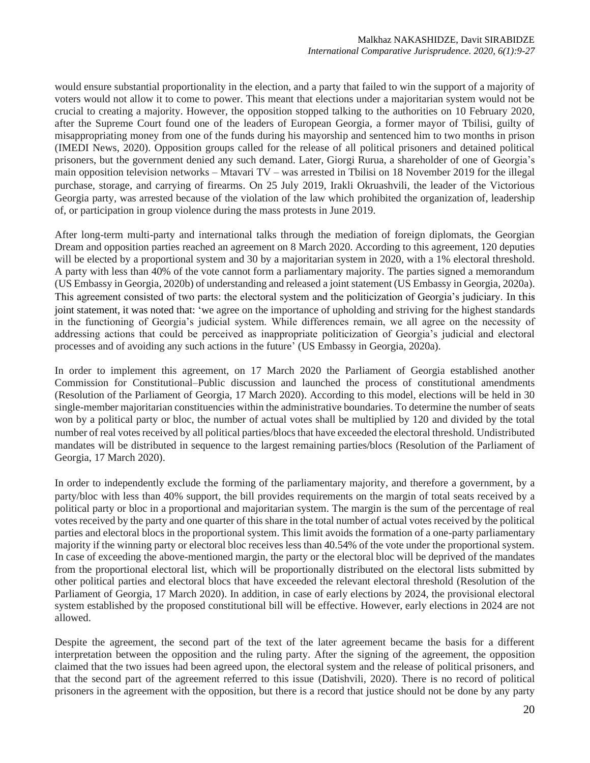would ensure substantial proportionality in the election, and a party that failed to win the support of a majority of voters would not allow it to come to power. This meant that elections under a majoritarian system would not be crucial to creating a majority. However, the opposition stopped talking to the authorities on 10 February 2020, after the Supreme Court found one of the leaders of European Georgia, a former mayor of Tbilisi, guilty of misappropriating money from one of the funds during his mayorship and sentenced him to two months in prison (IMEDI News, 2020). Opposition groups called for the release of all political prisoners and detained political prisoners, but the government denied any such demand. Later, Giorgi Rurua, a shareholder of one of Georgia's main opposition television networks – Mtavari TV – was arrested in Tbilisi on 18 November 2019 for the illegal purchase, storage, and carrying of firearms. On 25 July 2019, Irakli Okruashvili, the leader of the Victorious Georgia party, was arrested because of the violation of the law which prohibited the organization of, leadership of, or participation in group violence during the mass protests in June 2019.

After long-term multi-party and international talks through the mediation of foreign diplomats, the Georgian Dream and opposition parties reached an agreement on 8 March 2020. According to this agreement, 120 deputies will be elected by a proportional system and 30 by a majoritarian system in 2020, with a 1% electoral threshold. A party with less than 40% of the vote cannot form a parliamentary majority. The parties signed a memorandum (US Embassy in Georgia, 2020b) of understanding and released a joint statement (US Embassy in Georgia, 2020a). This agreement consisted of two parts: the electoral system and the politicization of Georgia's judiciary. In this joint statement, it was noted that: 'we agree on the importance of upholding and striving for the highest standards in the functioning of Georgia's judicial system. While differences remain, we all agree on the necessity of addressing actions that could be perceived as inappropriate politicization of Georgia's judicial and electoral processes and of avoiding any such actions in the future' (US Embassy in Georgia, 2020a).

In order to implement this agreement, on 17 March 2020 the Parliament of Georgia established another Commission for Constitutional–Public discussion and launched the process of constitutional amendments (Resolution of the Parliament of Georgia, 17 March 2020). According to this model, elections will be held in 30 single-member majoritarian constituencies within the administrative boundaries. To determine the number of seats won by a political party or bloc, the number of actual votes shall be multiplied by 120 and divided by the total number of real votes received by all political parties/blocs that have exceeded the electoral threshold. Undistributed mandates will be distributed in sequence to the largest remaining parties/blocs (Resolution of the Parliament of Georgia, 17 March 2020).

In order to independently exclude the forming of the parliamentary majority, and therefore a government, by a party/bloc with less than 40% support, the bill provides requirements on the margin of total seats received by a political party or bloc in a proportional and majoritarian system. The margin is the sum of the percentage of real votes received by the party and one quarter of this share in the total number of actual votes received by the political parties and electoral blocs in the proportional system. This limit avoids the formation of a one-party parliamentary majority if the winning party or electoral bloc receives less than 40.54% of the vote under the proportional system. In case of exceeding the above-mentioned margin, the party or the electoral bloc will be deprived of the mandates from the proportional electoral list, which will be proportionally distributed on the electoral lists submitted by other political parties and electoral blocs that have exceeded the relevant electoral threshold (Resolution of the Parliament of Georgia, 17 March 2020). In addition, in case of early elections by 2024, the provisional electoral system established by the proposed constitutional bill will be effective. However, early elections in 2024 are not allowed.

Despite the agreement, the second part of the text of the later agreement became the basis for a different interpretation between the opposition and the ruling party. After the signing of the agreement, the opposition claimed that the two issues had been agreed upon, the electoral system and the release of political prisoners, and that the second part of the agreement referred to this issue (Datishvili, 2020). There is no record of political prisoners in the agreement with the opposition, but there is a record that justice should not be done by any party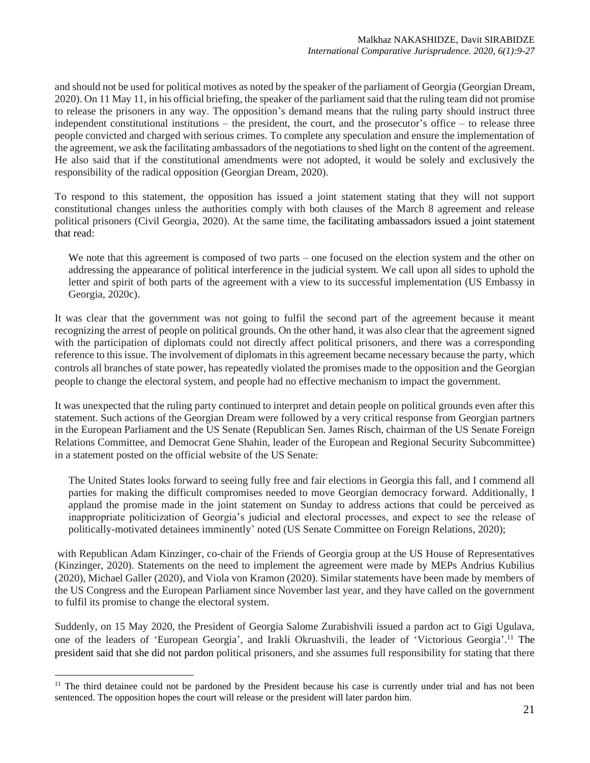and should not be used for political motives as noted by the speaker of the parliament of Georgia (Georgian Dream, 2020). On 11 May 11, in his official briefing, the speaker of the parliament said that the ruling team did not promise to release the prisoners in any way. The opposition's demand means that the ruling party should instruct three independent constitutional institutions – the president, the court, and the prosecutor's office – to release three people convicted and charged with serious crimes. To complete any speculation and ensure the implementation of the agreement, we ask the facilitating ambassadors of the negotiations to shed light on the content of the agreement. He also said that if the constitutional amendments were not adopted, it would be solely and exclusively the responsibility of the radical opposition (Georgian Dream, 2020).

To respond to this statement, the opposition has issued a joint statement stating that they will not support constitutional changes unless the authorities comply with both clauses of the March 8 agreement and release political prisoners (Civil Georgia, 2020). At the same time, the facilitating ambassadors issued a joint statement that read:

We note that this agreement is composed of two parts – one focused on the election system and the other on addressing the appearance of political interference in the judicial system. We call upon all sides to uphold the letter and spirit of both parts of the agreement with a view to its successful implementation (US Embassy in Georgia, 2020c).

It was clear that the government was not going to fulfil the second part of the agreement because it meant recognizing the arrest of people on political grounds. On the other hand, it was also clear that the agreement signed with the participation of diplomats could not directly affect political prisoners, and there was a corresponding reference to this issue. The involvement of diplomats in this agreement became necessary because the party, which controls all branches of state power, has repeatedly violated the promises made to the opposition and the Georgian people to change the electoral system, and people had no effective mechanism to impact the government.

It was unexpected that the ruling party continued to interpret and detain people on political grounds even after this statement. Such actions of the Georgian Dream were followed by a very critical response from Georgian partners in the European Parliament and the US Senate (Republican Sen. James Risch, chairman of the US Senate Foreign Relations Committee, and Democrat Gene Shahin, leader of the European and Regional Security Subcommittee) in a statement posted on the official website of the US Senate:

The United States looks forward to seeing fully free and fair elections in Georgia this fall, and I commend all parties for making the difficult compromises needed to move Georgian democracy forward. Additionally, I applaud the promise made in the joint statement on Sunday to address actions that could be perceived as inappropriate politicization of Georgia's judicial and electoral processes, and expect to see the release of politically-motivated detainees imminently' noted (US Senate Committee on Foreign Relations, 2020);

with Republican Adam Kinzinger, co-chair of the Friends of Georgia group at the US House of Representatives (Kinzinger, 2020). Statements on the need to implement the agreement were made by MEPs Andrius Kubilius (2020), Michael Galler (2020), and Viola von Kramon (2020). Similar statements have been made by members of the US Congress and the European Parliament since November last year, and they have called on the government to fulfil its promise to change the electoral system.

Suddenly, on 15 May 2020, the President of Georgia Salome Zurabishvili issued a pardon act to Gigi Ugulava, one of the leaders of 'European Georgia', and Irakli Okruashvili, the leader of 'Victorious Georgia'. <sup>11</sup> The president said that she did not pardon political prisoners, and she assumes full responsibility for stating that there

 $11$  The third detainee could not be pardoned by the President because his case is currently under trial and has not been sentenced. The opposition hopes the court will release or the president will later pardon him.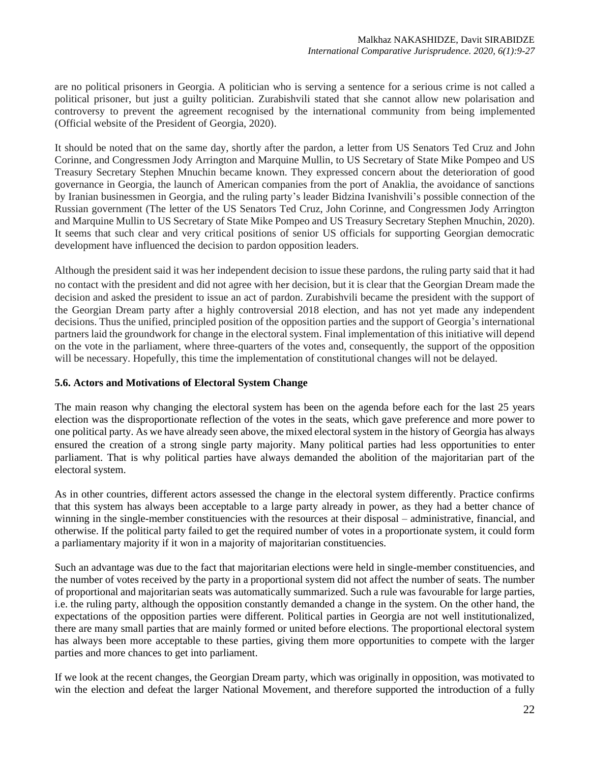are no political prisoners in Georgia. A politician who is serving a sentence for a serious crime is not called a political prisoner, but just a guilty politician. Zurabishvili stated that she cannot allow new polarisation and controversy to prevent the agreement recognised by the international community from being implemented (Official website of the President of Georgia, 2020).

It should be noted that on the same day, shortly after the pardon, a letter from US Senators Ted Cruz and John Corinne, and Congressmen Jody Arrington and Marquine Mullin, to US Secretary of State Mike Pompeo and US Treasury Secretary Stephen Mnuchin became known. They expressed concern about the deterioration of good governance in Georgia, the launch of American companies from the port of Anaklia, the avoidance of sanctions by Iranian businessmen in Georgia, and the ruling party's leader Bidzina Ivanishvili's possible connection of the Russian government (The letter of the US Senators Ted Cruz, John Corinne, and Congressmen Jody Arrington and Marquine Mullin to US Secretary of State Mike Pompeo and US Treasury Secretary Stephen Mnuchin, 2020). It seems that such clear and very critical positions of senior US officials for supporting Georgian democratic development have influenced the decision to pardon opposition leaders.

Although the president said it was her independent decision to issue these pardons, the ruling party said that it had no contact with the president and did not agree with her decision, but it is clear that the Georgian Dream made the decision and asked the president to issue an act of pardon. Zurabishvili became the president with the support of the Georgian Dream party after a highly controversial 2018 election, and has not yet made any independent decisions. Thus the unified, principled position of the opposition parties and the support of Georgia's international partners laid the groundwork for change in the electoral system. Final implementation of this initiative will depend on the vote in the parliament, where three-quarters of the votes and, consequently, the support of the opposition will be necessary. Hopefully, this time the implementation of constitutional changes will not be delayed.

### **5.6. Actors and Motivations of Electoral System Change**

The main reason why changing the electoral system has been on the agenda before each for the last 25 years election was the disproportionate reflection of the votes in the seats, which gave preference and more power to one political party. As we have already seen above, the mixed electoral system in the history of Georgia has always ensured the creation of a strong single party majority. Many political parties had less opportunities to enter parliament. That is why political parties have always demanded the abolition of the majoritarian part of the electoral system.

As in other countries, different actors assessed the change in the electoral system differently. Practice confirms that this system has always been acceptable to a large party already in power, as they had a better chance of winning in the single-member constituencies with the resources at their disposal – administrative, financial, and otherwise. If the political party failed to get the required number of votes in a proportionate system, it could form a parliamentary majority if it won in a majority of majoritarian constituencies.

Such an advantage was due to the fact that majoritarian elections were held in single-member constituencies, and the number of votes received by the party in a proportional system did not affect the number of seats. The number of proportional and majoritarian seats was automatically summarized. Such a rule was favourable for large parties, i.e. the ruling party, although the opposition constantly demanded a change in the system. On the other hand, the expectations of the opposition parties were different. Political parties in Georgia are not well institutionalized, there are many small parties that are mainly formed or united before elections. The proportional electoral system has always been more acceptable to these parties, giving them more opportunities to compete with the larger parties and more chances to get into parliament.

If we look at the recent changes, the Georgian Dream party, which was originally in opposition, was motivated to win the election and defeat the larger National Movement, and therefore supported the introduction of a fully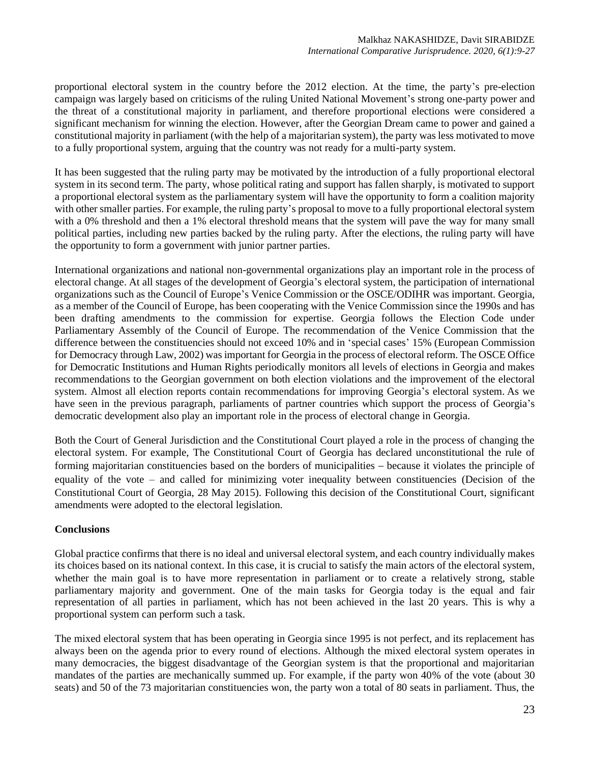proportional electoral system in the country before the 2012 election. At the time, the party's pre-election campaign was largely based on criticisms of the ruling United National Movement's strong one-party power and the threat of a constitutional majority in parliament, and therefore proportional elections were considered a significant mechanism for winning the election. However, after the Georgian Dream came to power and gained a constitutional majority in parliament (with the help of a majoritarian system), the party was less motivated to move to a fully proportional system, arguing that the country was not ready for a multi-party system.

It has been suggested that the ruling party may be motivated by the introduction of a fully proportional electoral system in its second term. The party, whose political rating and support has fallen sharply, is motivated to support a proportional electoral system as the parliamentary system will have the opportunity to form a coalition majority with other smaller parties. For example, the ruling party's proposal to move to a fully proportional electoral system with a 0% threshold and then a 1% electoral threshold means that the system will pave the way for many small political parties, including new parties backed by the ruling party. After the elections, the ruling party will have the opportunity to form a government with junior partner parties.

International organizations and national non-governmental organizations play an important role in the process of electoral change. At all stages of the development of Georgia's electoral system, the participation of international organizations such as the Council of Europe's Venice Commission or the OSCE/ODIHR was important. Georgia, as a member of the Council of Europe, has been cooperating with the Venice Commission since the 1990s and has been drafting amendments to the commission for expertise. Georgia follows the Election Code under Parliamentary Assembly of the Council of Europe. The recommendation of the Venice Commission that the difference between the constituencies should not exceed 10% and in 'special cases' 15% (European Commission for Democracy through Law, 2002) was important for Georgia in the process of electoral reform. The OSCE Office for Democratic Institutions and Human Rights periodically monitors all levels of elections in Georgia and makes recommendations to the Georgian government on both election violations and the improvement of the electoral system. Almost all election reports contain recommendations for improving Georgia's electoral system. As we have seen in the previous paragraph, parliaments of partner countries which support the process of Georgia's democratic development also play an important role in the process of electoral change in Georgia.

Both the Court of General Jurisdiction and the Constitutional Court played a role in the process of changing the electoral system. For example, The Constitutional Court of Georgia has declared unconstitutional the rule of forming majoritarian constituencies based on the borders of municipalities – because it violates the principle of equality of the vote – and called for minimizing voter inequality between constituencies (Decision of the Constitutional Court of Georgia, 28 May 2015). Following this decision of the Constitutional Court, significant amendments were adopted to the electoral legislation.

### **Conclusions**

Global practice confirms that there is no ideal and universal electoral system, and each country individually makes its choices based on its national context. In this case, it is crucial to satisfy the main actors of the electoral system, whether the main goal is to have more representation in parliament or to create a relatively strong, stable parliamentary majority and government. One of the main tasks for Georgia today is the equal and fair representation of all parties in parliament, which has not been achieved in the last 20 years. This is why a proportional system can perform such a task.

The mixed electoral system that has been operating in Georgia since 1995 is not perfect, and its replacement has always been on the agenda prior to every round of elections. Although the mixed electoral system operates in many democracies, the biggest disadvantage of the Georgian system is that the proportional and majoritarian mandates of the parties are mechanically summed up. For example, if the party won 40% of the vote (about 30 seats) and 50 of the 73 majoritarian constituencies won, the party won a total of 80 seats in parliament. Thus, the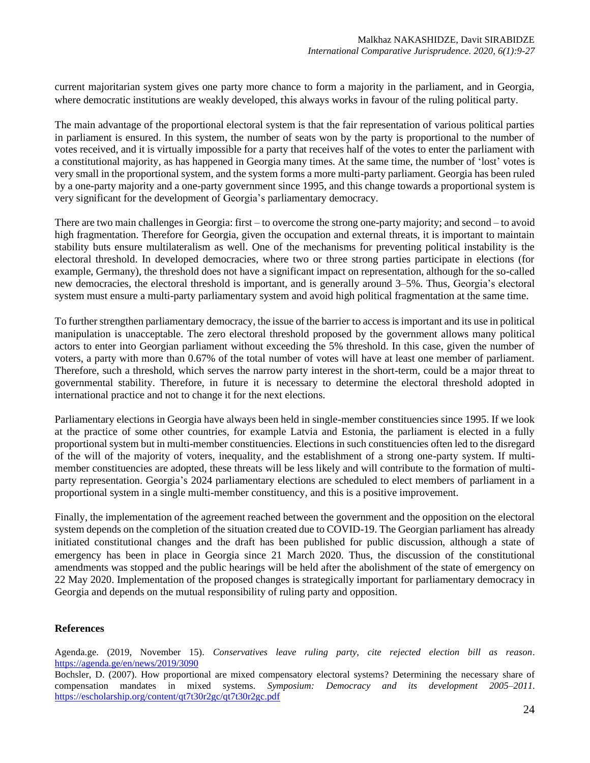current majoritarian system gives one party more chance to form a majority in the parliament, and in Georgia, where democratic institutions are weakly developed, this always works in favour of the ruling political party.

The main advantage of the proportional electoral system is that the fair representation of various political parties in parliament is ensured. In this system, the number of seats won by the party is proportional to the number of votes received, and it is virtually impossible for a party that receives half of the votes to enter the parliament with a constitutional majority, as has happened in Georgia many times. At the same time, the number of 'lost' votes is very small in the proportional system, and the system forms a more multi-party parliament. Georgia has been ruled by a one-party majority and a one-party government since 1995, and this change towards a proportional system is very significant for the development of Georgia's parliamentary democracy.

There are two main challenges in Georgia: first – to overcome the strong one-party majority; and second – to avoid high fragmentation. Therefore for Georgia, given the occupation and external threats, it is important to maintain stability buts ensure multilateralism as well. One of the mechanisms for preventing political instability is the electoral threshold. In developed democracies, where two or three strong parties participate in elections (for example, Germany), the threshold does not have a significant impact on representation, although for the so-called new democracies, the electoral threshold is important, and is generally around 3–5%. Thus, Georgia's electoral system must ensure a multi-party parliamentary system and avoid high political fragmentation at the same time.

To further strengthen parliamentary democracy, the issue of the barrier to access is important and its use in political manipulation is unacceptable. The zero electoral threshold proposed by the government allows many political actors to enter into Georgian parliament without exceeding the 5% threshold. In this case, given the number of voters, a party with more than 0.67% of the total number of votes will have at least one member of parliament. Therefore, such a threshold, which serves the narrow party interest in the short-term, could be a major threat to governmental stability. Therefore, in future it is necessary to determine the electoral threshold adopted in international practice and not to change it for the next elections.

Parliamentary elections in Georgia have always been held in single-member constituencies since 1995. If we look at the practice of some other countries, for example Latvia and Estonia, the parliament is elected in a fully proportional system but in multi-member constituencies. Elections in such constituencies often led to the disregard of the will of the majority of voters, inequality, and the establishment of a strong one-party system. If multimember constituencies are adopted, these threats will be less likely and will contribute to the formation of multiparty representation. Georgia's 2024 parliamentary elections are scheduled to elect members of parliament in a proportional system in a single multi-member constituency, and this is a positive improvement.

Finally, the implementation of the agreement reached between the government and the opposition on the electoral system depends on the completion of the situation created due to COVID-19. The Georgian parliament has already initiated constitutional changes and the draft has been published for public discussion, although a state of emergency has been in place in Georgia since 21 March 2020. Thus, the discussion of the constitutional amendments was stopped and the public hearings will be held after the abolishment of the state of emergency on 22 May 2020. Implementation of the proposed changes is strategically important for parliamentary democracy in Georgia and depends on the mutual responsibility of ruling party and opposition.

#### **References**

Agenda.ge. (2019, November 15). *Conservatives leave ruling party, cite rejected election bill as reason*. https://agenda.ge/en/news/2019/3090

Bochsler, D. (2007). How proportional are mixed compensatory electoral systems? Determining the necessary share of compensation mandates in mixed systems. *Symposium: Democracy and its development 2005–2011*. <https://escholarship.org/content/qt7t30r2gc/qt7t30r2gc.pdf>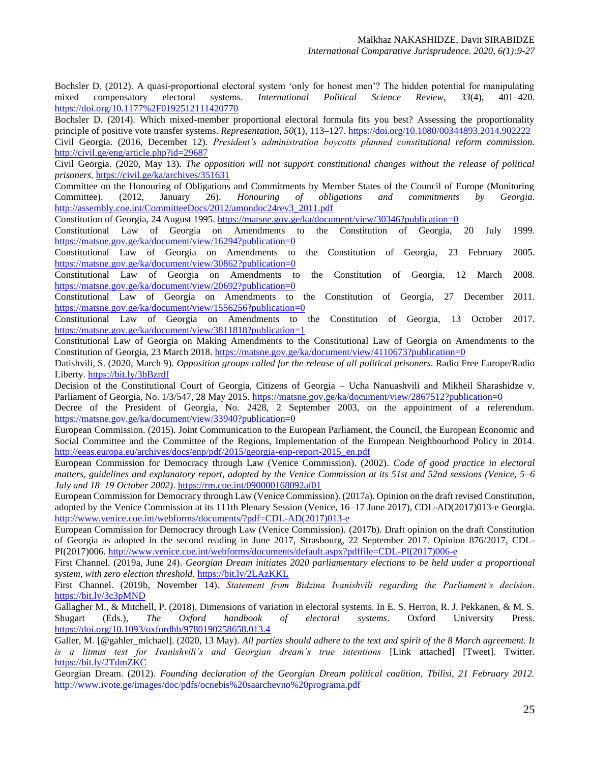Bochsler D. (2012). A quasi-proportional electoral system 'only for honest men'? The hidden potential for manipulating mixed compensatory electoral systems. *International Political Science Review*, *33*(4), 401–420. <https://doi.org/10.1177%2F0192512111420770>

Bochsler D. (2014). Which mixed-member proportional electoral formula fits you best? Assessing the proportionality principle of positive vote transfer systems. *Representation*, *50*(1), 113–127. <https://doi.org/10.1080/00344893.2014.902222> Civil Georgia. (2016, December 12). *President's administration boycotts planned constitutional reform commission*. http://civil.ge/eng/article.php?id=29687

Civil Georgia. (2020, May 13). *The opposition will not support constitutional changes without the release of political prisoners*[. https://civil.ge/ka/archives/351631](https://civil.ge/ka/archives/351631)

Committee on the Honouring of Obligations and Commitments by Member States of the Council of Europe (Monitoring Committee). (2012, January 26). *Honouring of obligations and commitments by Georgia*. http://assembly.coe.int/CommitteeDocs/2012/amondoc24rev3\_2011.pdf

Constitution of Georgia, 24 August 1995. https://matsne.gov.ge/ka/document/view/30346?publication=0<br>Constitutional Law of Georgia on Amendments to the Constitution of Georgia.

Constitutional Law of Georgia on Amendments to the Constitution of Georgia, 20 July 1999. https://matsne.gov.ge/ka/document/view/16294?publication=0

Constitutional Law of Georgia on Amendments to the Constitution of Georgia, 23 February 2005. https://matsne.gov.ge/ka/document/view/30862?publication=0

Constitutional Law of Georgia on Amendments to the Constitution of Georgia, 12 March 2008. https://matsne.gov.ge/ka/document/view/20692?publication=0

Constitutional Law of Georgia on Amendments to the Constitution of Georgia, 27 December 2011. https://matsne.gov.ge/ka/document/view/1556256?publication=0

Constitutional Law of Georgia on Amendments to the Constitution of Georgia, 13 October 2017. https://matsne.gov.ge/ka/document/view/3811818?publication=1

Constitutional Law of Georgia on Making Amendments to the Constitutional Law of Georgia on Amendments to the Constitution of Georgia, 23 March 2018. https://matsne.gov.ge/ka/document/view/4110673?publication=0

Datishvili, S. (2020, March 9). *Opposition groups called for the release of all political prisoners*. Radio Free Europe/Radio Liberty. https://bit.ly/3bBzrdf

Decision of the Constitutional Court of Georgia, Citizens of Georgia – Ucha Nanuashvili and Mikheil Sharashidze v. Parliament of Georgia, No. 1/3/547, 28 May 2015.<https://matsne.gov.ge/ka/document/view/2867512?publication=0>

Decree of the President of Georgia, No. 2428, 2 September 2003, on the appointment of a referendum. <https://matsne.gov.ge/ka/document/view/33940?publication=0>

European Commission. (2015). Joint Communication to the European Parliament, the Council, the European Economic and Social Committee and the Committee of the Regions, Implementation of the European Neighbourhood Policy in 2014. http://eeas.europa.eu/archives/docs/enp/pdf/2015/georgia-enp-report-2015\_en.pdf

European Commission for Democracy through Law (Venice Commission). (2002). *Code of good practice in electoral matters, guidelines and explanatory report, adopted by the Venice Commission at its 51st and 52nd sessions (Venice, 5–6 July and 18–19 October 2002)*. https://rm.coe.int/090000168092af01

European Commission for Democracy through Law (Venice Commission). (2017a). Opinion on the draft revised Constitution, adopted by the Venice Commission at its 111th Plenary Session (Venice, 16–17 June 2017), CDL-AD(2017)013-e Georgia. [http://www.venice.coe.int/webforms/documents/?pdf=CDL-AD\(2017\)013-e](http://www.venice.coe.int/webforms/documents/?pdf=CDL-AD(2017)013-e)

European Commission for Democracy through Law (Venice Commission). (2017b). Draft opinion on the draft Constitution of Georgia as adopted in the second reading in June 2017, Strasbourg, 22 September 2017. Opinion 876/2017, CDL-PI(2017)006. http://www.venice.coe.int/webforms/documents/default.aspx?pdffile=CDL-PI(2017)006-e

First Channel. (2019a, June 24). *Georgian Dream initiates 2020 parliamentary elections to be held under a proportional system, with zero election threshold*. https://bit.ly/2LAzKKL

First Channel. (2019b, November 14). *Statement from Bidzina Ivanishvili regarding the Parliament's decision*. https://bit.ly/3c3pMND

Gallagher M., & Mitchell, P. (2018). Dimensions of variation in electoral systems. In E. S. Herron, R. J. Pekkanen, & M. S. Shugart (Eds.), *The Oxford handbook of electoral systems*. Oxford University Press. <https://doi.org/10.1093/oxfordhb/9780190258658.013.4>

Galler, M. [@gahler\_michael]. (2020, 13 May). *All parties should adhere to the text and spirit of the 8 March agreement. It is a litmus test for Ivanishvili's and Georgian dream's true intentions* [Link attached] [Tweet]. Twitter. https://bit.ly/2TdmZKC

Georgian Dream. (2012). *Founding declaration of the Georgian Dream political coalition, Tbilisi, 21 February 2012.*  http://www.ivote.ge/images/doc/pdfs/ocnebis%20saarchevno%20programa.pdf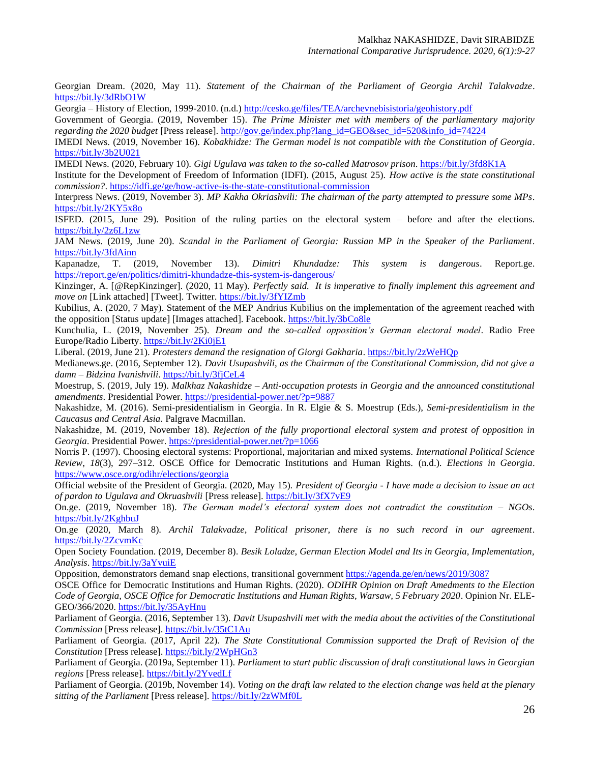Georgian Dream. (2020, May 11). *Statement of the Chairman of the Parliament of Georgia Archil Talakvadze*. https://bit.ly/3dRbO1W

Georgia – History of Election, 1999-2010. (n.d.) http://cesko.ge/files/TEA/archevnebisistoria/geohistory.pdf

Government of Georgia. (2019, November 15). *The Prime Minister met with members of the parliamentary majority regarding the 2020 budget* [Press release]. [http://gov.ge/index.php?lang\\_id=GEO&sec\\_id=520&info\\_id=74224](http://gov.ge/index.php?lang_id=GEO&sec_id=520&info_id=74224)

IMEDI News. (2019, November 16). *Kobakhidze: The German model is not compatible with the Constitution of Georgia*. https://bit.ly/3b2U021

IMEDI News. (2020, February 10). *Gigi Ugulava was taken to the so-called Matrosov prison*. https://bit.ly/3fd8K1A

Institute for the Development of Freedom of Information (IDFI). (2015, August 25). *How active is the state constitutional commission?*.<https://idfi.ge/ge/how-active-is-the-state-constitutional-commission>

Interpress News. (2019, November 3). *MP Kakha Okriashvili: The chairman of the party attempted to pressure some MPs*. https://bit.ly/2KY5x8o

ISFED. (2015, June 29). Position of the ruling parties on the electoral system – before and after the elections. https://bit.ly/2z6L1zw

JAM News. (2019, June 20). *Scandal in the Parliament of Georgia: Russian MP in the Speaker of the Parliament*. <https://bit.ly/3fdAinn>

Kapanadze, T. (2019, November 13). *Dimitri Khundadze: This system is dangerous*. Report.ge. https://report.ge/en/politics/dimitri-khundadze-this-system-is-dangerous/

Kinzinger, A. [@RepKinzinger]. (2020, 11 May). *Perfectly said. It is imperative to finally implement this agreement and move on* [Link attached] [Tweet]. Twitter.<https://bit.ly/3fYIZmb>

Kubilius, A. (2020, 7 May). Statement of the MEP Andrius Kubilius on the implementation of the agreement reached with the opposition [Status update] [Images attached]. Facebook. https://bit.ly/3bCo8le

Kunchulia, L. (2019, November 25). *Dream and the so-called opposition's German electoral model*. Radio Free Europe/Radio Liberty. <https://bit.ly/2Ki0jE1>

Liberal. (2019, June 21). *Protesters demand the resignation of Giorgi Gakharia*. https://bit.ly/2zWeHQp

Medianews.ge. (2016, September 12). *Davit Usupashvili, as the Chairman of the Constitutional Commission, did not give a damn – Bidzina Ivanishvili*. https://bit.ly/3fjCeL4

Moestrup, S. (2019, July 19). *Malkhaz Nakashidze – Anti-occupation protests in Georgia and the announced constitutional amendments*. Presidential Power. https://presidential-power.net/?p=9887

Nakashidze, M. (2016). Semi-presidentialism in Georgia. In R. Elgie & S. Moestrup (Eds.), *Semi-presidentialism in the Caucasus and Central Asia*. Palgrave Macmillan.

Nakashidze, M. (2019, November 18). *Rejection of the fully proportional electoral system and protest of opposition in Georgia*. Presidential Power. https://presidential-power.net/?p=1066

Norris P. (1997). Choosing electoral systems: Proportional, majoritarian and mixed systems. *International Political Science Review*, *18*(3), 297–312. OSCE Office for Democratic Institutions and Human Rights. (n.d.). *Elections in Georgia*. https://www.osce.org/odihr/elections/georgia

Official website of the President of Georgia. (2020, May 15). *President of Georgia - I have made a decision to issue an act of pardon to Ugulava and Okruashvili* [Press release]. https://bit.ly/3fX7vE9

On.ge. (2019, November 18). *The German model's electoral system does not contradict the constitution – NGOs*. https://bit.ly/2KghbuJ

On.ge (2020, March 8). *Archil Talakvadze, Political prisoner, there is no such record in our agreement*. <https://bit.ly/2ZcvmKc>

Open Society Foundation. (2019, December 8). *Besik Loladze, German Election Model and Its in Georgia, Implementation, Analysis*. https://bit.ly/3aYvuiE

Opposition, demonstrators demand snap elections, transitional government<https://agenda.ge/en/news/2019/3087>

OSCE Office for Democratic Institutions and Human Rights. (2020). *ODIHR Opinion on Draft Amedments to the Election Code of Georgia, OSCE Office for Democratic Institutions and Human Rights, Warsaw, 5 February 2020*. Opinion Nr. ELE-GEO/366/2020. https://bit.ly/35AyHnu

Parliament of Georgia. (2016, September 13). *Davit Usupashvili met with the media about the activities of the Constitutional Commission* [Press release]. https://bit.ly/35tC1Au

Parliament of Georgia. (2017, April 22). *The State Constitutional Commission supported the Draft of Revision of the Constitution* [Press release]. https://bit.ly/2WpHGn3

Parliament of Georgia. (2019a, September 11). *Parliament to start public discussion of draft constitutional laws in Georgian regions* [Press release]. <https://bit.ly/2YvedLf>

Parliament of Georgia. (2019b, November 14). *Voting on the draft law related to the election change was held at the plenary sitting of the Parliament* [Press release]. https://bit.ly/2zWMf0L